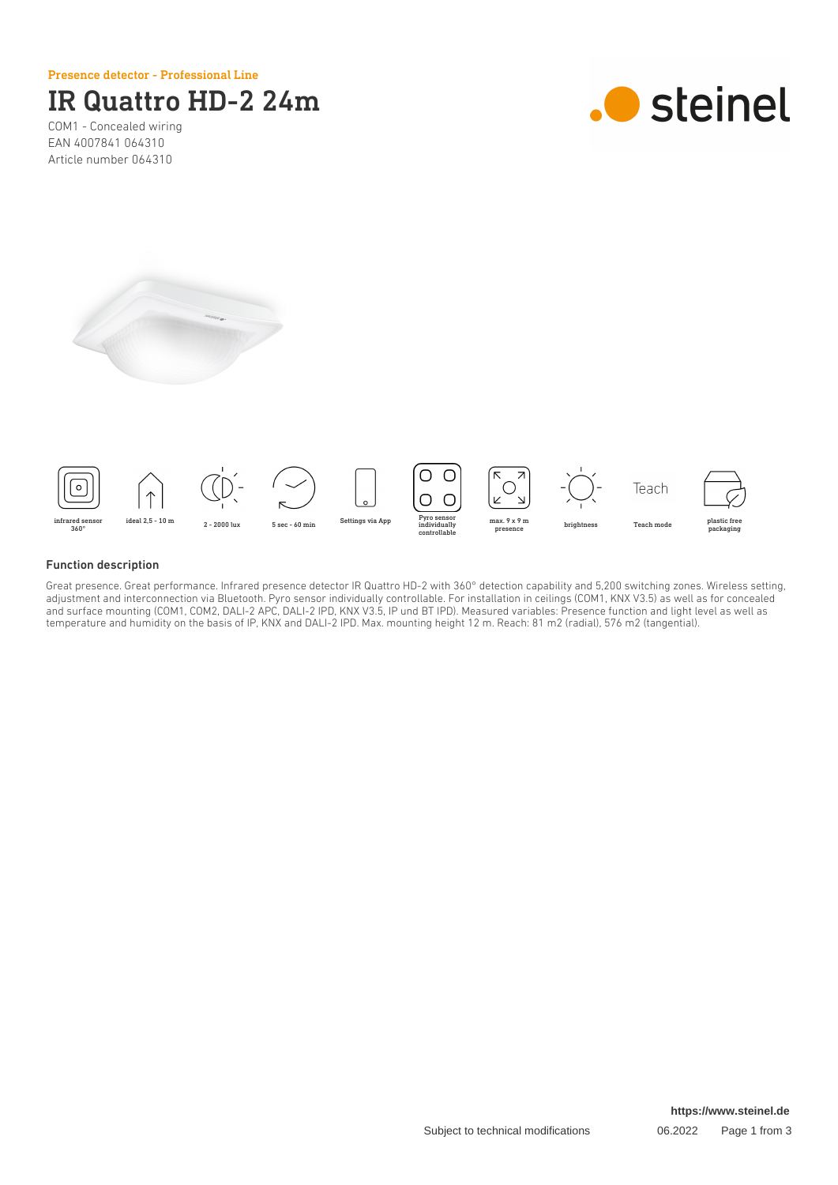Presence detector - Professional Line

# IR Quattro HD-2 24m

COM1 - Concealed wiring EAN 4007841 064310 Article number 064310







### Function description

Great presence. Great performance. Infrared presence detector IR Quattro HD-2 with 360° detection capability and 5,200 switching zones. Wireless setting, adjustment and interconnection via Bluetooth. Pyro sensor individually controllable. For installation in ceilings (COM1, KNX V3.5) as well as for concealed and surface mounting (COM1, COM2, DALI-2 APC, DALI-2 IPD, KNX V3.5, IP und BT IPD). Measured variables: Presence function and light level as well as temperature and humidity on the basis of IP, KNX and DALI-2 IPD. Max. mounting height 12 m. Reach: 81 m2 (radial), 576 m2 (tangential).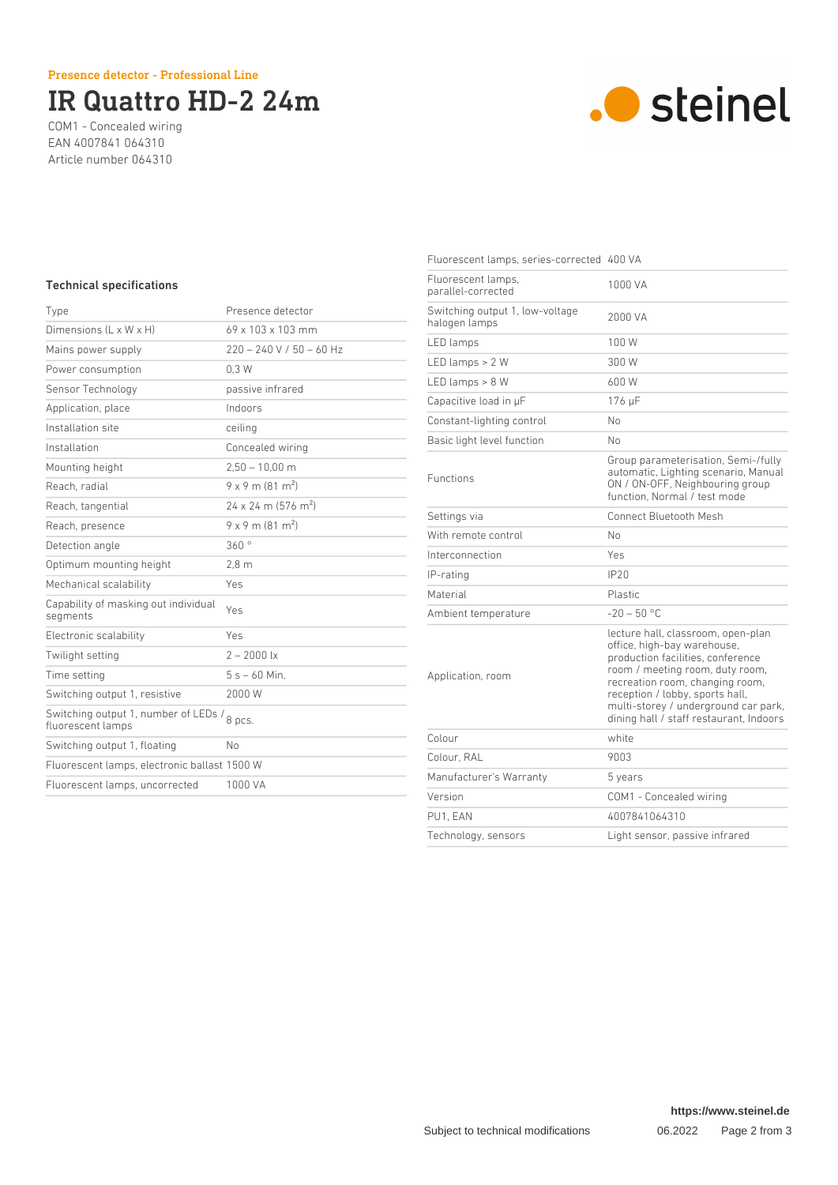# IR Quattro HD-2 24m

COM1 - Concealed wiring EAN 4007841 064310 Article number 064310



## Technical specifications

| Type                                                                | Presence detector                      |
|---------------------------------------------------------------------|----------------------------------------|
| Dimensions (L x W x H)                                              | 69 x 103 x 103 mm                      |
| Mains power supply                                                  | $220 - 240$ V / 50 - 60 Hz             |
| Power consumption                                                   | 0.3W                                   |
| Sensor Technology                                                   | passive infrared                       |
| Application, place                                                  | Indoors                                |
| Installation site                                                   | ceiling                                |
| Installation                                                        | Concealed wiring                       |
| Mounting height                                                     | $2,50 - 10,00$ m                       |
| Reach, radial                                                       | $9 \times 9$ m (81 m <sup>2</sup> )    |
| Reach, tangential                                                   | $24 \times 24$ m (576 m <sup>2</sup> ) |
| Reach, presence                                                     | $9 \times 9$ m (81 m <sup>2</sup> )    |
| Detection angle                                                     | 360°                                   |
| Optimum mounting height                                             | 2.8 <sub>m</sub>                       |
| Mechanical scalability                                              | Yes                                    |
| Capability of masking out individual<br>segments                    | Yes                                    |
| Electronic scalability                                              | Yes                                    |
| Twilight setting                                                    | $2 - 2000$ lx                          |
| Time setting                                                        | $5s - 60$ Min.                         |
| Switching output 1, resistive                                       | 2000 W                                 |
| Switching output 1, number of LEDs /<br>8 pcs.<br>fluorescent lamps |                                        |
| Switching output 1, floating                                        | No                                     |
| Fluorescent lamps, electronic ballast 1500 W                        |                                        |
| Fluorescent lamps, uncorrected                                      | 1000 VA                                |

| Fluorescent lamps, series-corrected 400 VA       |                                                                                                                                                                                                                                                                                                    |
|--------------------------------------------------|----------------------------------------------------------------------------------------------------------------------------------------------------------------------------------------------------------------------------------------------------------------------------------------------------|
| Fluorescent lamps,<br>parallel-corrected         | 1000 VA                                                                                                                                                                                                                                                                                            |
| Switching output 1, low-voltage<br>halogen lamps | 2000 VA                                                                                                                                                                                                                                                                                            |
| LED lamps                                        | 100 W                                                                                                                                                                                                                                                                                              |
| LED lamps $> 2 W$                                | 300 W                                                                                                                                                                                                                                                                                              |
| LED lamps $> 8 W$                                | 600 W                                                                                                                                                                                                                                                                                              |
| Capacitive load in µF                            | 176 µF                                                                                                                                                                                                                                                                                             |
| Constant-lighting control                        | No                                                                                                                                                                                                                                                                                                 |
| Basic light level function                       | No                                                                                                                                                                                                                                                                                                 |
| <b>Functions</b>                                 | Group parameterisation, Semi-/fully<br>automatic, Lighting scenario, Manual<br>ON / ON-OFF, Neighbouring group<br>function. Normal / test mode                                                                                                                                                     |
| Settings via                                     | Connect Bluetooth Mesh                                                                                                                                                                                                                                                                             |
| With remote control                              | No                                                                                                                                                                                                                                                                                                 |
| Interconnection                                  | Yes                                                                                                                                                                                                                                                                                                |
| IP-rating                                        | IP20                                                                                                                                                                                                                                                                                               |
| Material                                         | <b>Plastic</b>                                                                                                                                                                                                                                                                                     |
| Ambient temperature                              | $-20 - 50$ °C                                                                                                                                                                                                                                                                                      |
| Application, room                                | lecture hall, classroom, open-plan<br>office, high-bay warehouse,<br>production facilities, conference<br>room / meeting room, duty room,<br>recreation room, changing room,<br>reception / lobby, sports hall,<br>multi-storey / underground car park,<br>dining hall / staff restaurant, Indoors |
| Colour                                           | white                                                                                                                                                                                                                                                                                              |
| Colour, RAL                                      | 9003                                                                                                                                                                                                                                                                                               |
| Manufacturer's Warranty                          | 5 years                                                                                                                                                                                                                                                                                            |
| Version                                          | COM1 - Concealed wiring                                                                                                                                                                                                                                                                            |
| PU1, EAN                                         | 4007841064310                                                                                                                                                                                                                                                                                      |
| Technology, sensors                              | Light sensor, passive infrared                                                                                                                                                                                                                                                                     |